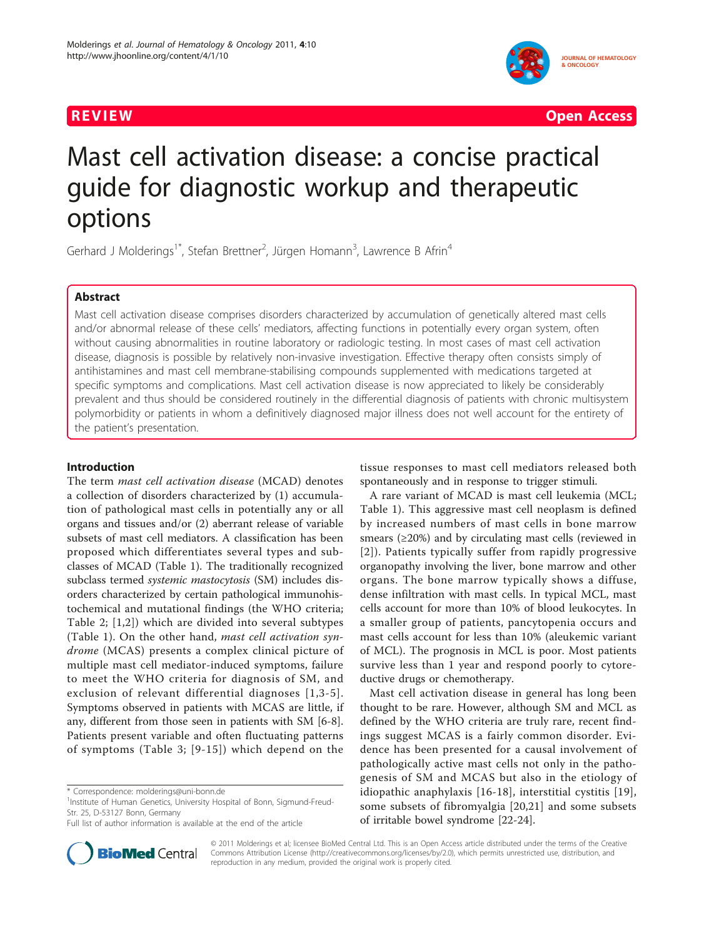

**REVIEW CONSUMING THE CONSUMING OPEN ACCESS** 

# Mast cell activation disease: a concise practical guide for diagnostic workup and therapeutic options

Gerhard J Molderings<sup>1\*</sup>, Stefan Brettner<sup>2</sup>, Jürgen Homann<sup>3</sup>, Lawrence B Afrin<sup>4</sup>

### Abstract

Mast cell activation disease comprises disorders characterized by accumulation of genetically altered mast cells and/or abnormal release of these cells' mediators, affecting functions in potentially every organ system, often without causing abnormalities in routine laboratory or radiologic testing. In most cases of mast cell activation disease, diagnosis is possible by relatively non-invasive investigation. Effective therapy often consists simply of antihistamines and mast cell membrane-stabilising compounds supplemented with medications targeted at specific symptoms and complications. Mast cell activation disease is now appreciated to likely be considerably prevalent and thus should be considered routinely in the differential diagnosis of patients with chronic multisystem polymorbidity or patients in whom a definitively diagnosed major illness does not well account for the entirety of the patient's presentation.

## Introduction

The term mast cell activation disease (MCAD) denotes a collection of disorders characterized by (1) accumulation of pathological mast cells in potentially any or all organs and tissues and/or (2) aberrant release of variable subsets of mast cell mediators. A classification has been proposed which differentiates several types and subclasses of MCAD (Table [1\)](#page-1-0). The traditionally recognized subclass termed systemic mastocytosis (SM) includes disorders characterized by certain pathological immunohistochemical and mutational findings (the WHO criteria; Table [2](#page-1-0); [\[1,2](#page-6-0)]) which are divided into several subtypes (Table [1](#page-1-0)). On the other hand, mast cell activation syndrome (MCAS) presents a complex clinical picture of multiple mast cell mediator-induced symptoms, failure to meet the WHO criteria for diagnosis of SM, and exclusion of relevant differential diagnoses [[1](#page-6-0),[3](#page-6-0)-[5\]](#page-6-0). Symptoms observed in patients with MCAS are little, if any, different from those seen in patients with SM [[6-8](#page-6-0)]. Patients present variable and often fluctuating patterns of symptoms (Table [3](#page-2-0); [[9](#page-6-0)-[15](#page-6-0)]) which depend on the

<sup>1</sup>Institute of Human Genetics, University Hospital of Bonn, Sigmund-Freud-Str. 25, D-53127 Bonn, Germany



A rare variant of MCAD is mast cell leukemia (MCL; Table [1\)](#page-1-0). This aggressive mast cell neoplasm is defined by increased numbers of mast cells in bone marrow smears (≥20%) and by circulating mast cells (reviewed in [[2](#page-6-0)]). Patients typically suffer from rapidly progressive organopathy involving the liver, bone marrow and other organs. The bone marrow typically shows a diffuse, dense infiltration with mast cells. In typical MCL, mast cells account for more than 10% of blood leukocytes. In a smaller group of patients, pancytopenia occurs and mast cells account for less than 10% (aleukemic variant of MCL). The prognosis in MCL is poor. Most patients survive less than 1 year and respond poorly to cytoreductive drugs or chemotherapy.

Mast cell activation disease in general has long been thought to be rare. However, although SM and MCL as defined by the WHO criteria are truly rare, recent findings suggest MCAS is a fairly common disorder. Evidence has been presented for a causal involvement of pathologically active mast cells not only in the pathogenesis of SM and MCAS but also in the etiology of idiopathic anaphylaxis [\[16-18\]](#page-6-0), interstitial cystitis [[19](#page-6-0)], some subsets of fibromyalgia [[20,21](#page-6-0)] and some subsets of irritable bowel syndrome [[22](#page-6-0)-[24\]](#page-6-0).



© 2011 Molderings et al; licensee BioMed Central Ltd. This is an Open Access article distributed under the terms of the Creative Commons Attribution License [\(http://creativecommons.org/licenses/by/2.0](http://creativecommons.org/licenses/by/2.0)), which permits unrestricted use, distribution, and reproduction in any medium, provided the original work is properly cited.

<sup>\*</sup> Correspondence: [molderings@uni-bonn.de](mailto:molderings@uni-bonn.de)

Full list of author information is available at the end of the article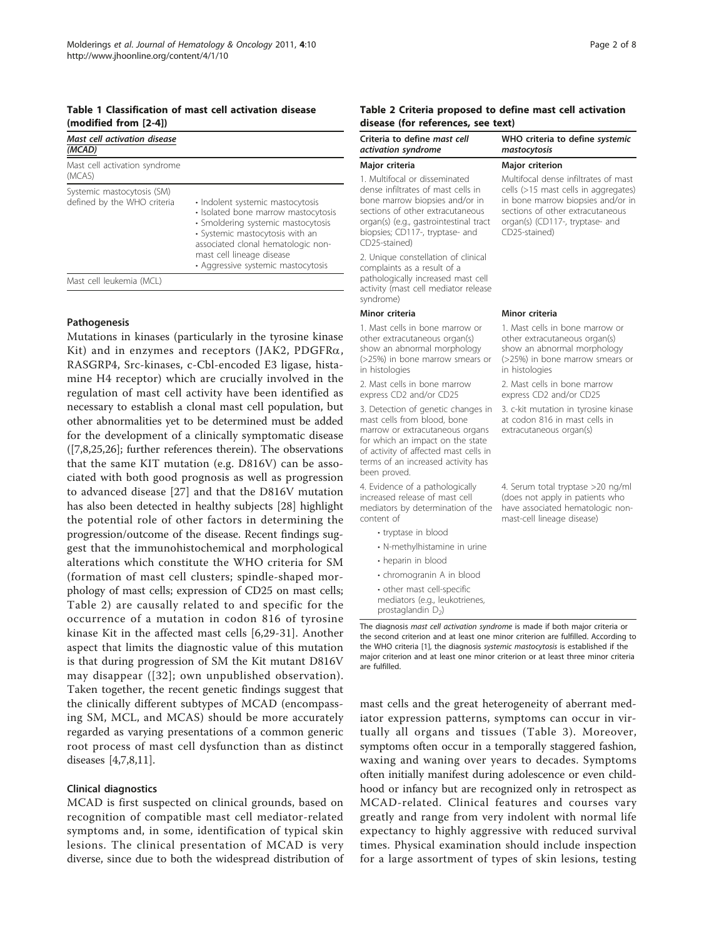#### <span id="page-1-0"></span>Table 1 Classification of mast cell activation disease (modified from [\[2-4](#page-6-0)])

| Mast cell activation disease<br>(MCAD)                    |                                                                                                                                                                                                                                                           |
|-----------------------------------------------------------|-----------------------------------------------------------------------------------------------------------------------------------------------------------------------------------------------------------------------------------------------------------|
| Mast cell activation syndrome<br>(MCAS)                   |                                                                                                                                                                                                                                                           |
| Systemic mastocytosis (SM)<br>defined by the WHO criteria | • Indolent systemic mastocytosis<br>· Isolated bone marrow mastocytosis<br>• Smoldering systemic mastocytosis<br>• Systemic mastocytosis with an<br>associated clonal hematologic non-<br>mast cell lineage disease<br>• Aggressive systemic mastocytosis |
| Mast cell leukemia (MCL)                                  |                                                                                                                                                                                                                                                           |

#### Pathogenesis

Mutations in kinases (particularly in the tyrosine kina Kit) and in enzymes and receptors (JAK2, PDGFR RASGRP4, Src-kinases, c-Cbl-encoded E3 ligase, hist mine H4 receptor) which are crucially involved in the regulation of mast cell activity have been identified necessary to establish a clonal mast cell population, b other abnormalities yet to be determined must be added for the development of a clinically symptomatic disea  $([7,8,25,26]$  $([7,8,25,26]$ ; further references therein). The observation that the same KIT mutation (e.g.  $D816V$ ) can be ass ciated with both good prognosis as well as progression to advanced disease  $[27]$  $[27]$  and that the D816V mutation has also been detected in healthy subjects [[28\]](#page-6-0) highlight the potential role of other factors in determining the progression/outcome of the disease. Recent findings su gest that the immunohistochemical and morphologic alterations which constitute the WHO criteria for S (formation of mast cell clusters; spindle-shaped mo phology of mast cells; expression of CD25 on mast cells; Table 2) are causally related to and specific for the occurrence of a mutation in codon 816 of tyrosi kinase Kit in the affected mast cells  $[6,29-31]$  $[6,29-31]$  $[6,29-31]$  $[6,29-31]$ . Another aspect that limits the diagnostic value of this mutation is that during progression of SM the Kit mutant  $D816$ may disappear ([[32\]](#page-7-0); own unpublished observation). Taken together, the recent genetic findings suggest that the clinically different subtypes of MCAD (encompassing SM, MCL, and MCAS) should be more accurately regarded as varying presentations of a common generic root process of mast cell dysfunction than as distinct diseases [\[4,7,8,11](#page-6-0)].

#### Clinical diagnostics

MCAD is first suspected on clinical grounds, based on recognition of compatible mast cell mediator-related symptoms and, in some, identification of typical skin lesions. The clinical presentation of MCAD is very diverse, since due to both the widespread distribution of

#### Table 2 Criteria proposed to define mast cell activation disease (for references, see text)

| Criteria to define mast cell<br>activation syndrome                                                                                                                                                                                     | WHO criteria to define systemic<br>mastocytosis                                                                                                                                                           |
|-----------------------------------------------------------------------------------------------------------------------------------------------------------------------------------------------------------------------------------------|-----------------------------------------------------------------------------------------------------------------------------------------------------------------------------------------------------------|
| Major criteria                                                                                                                                                                                                                          | Major criterion                                                                                                                                                                                           |
| 1. Multifocal or disseminated<br>dense infiltrates of mast cells in<br>bone marrow biopsies and/or in<br>sections of other extracutaneous<br>organ(s) (e.g., gastrointestinal tract<br>biopsies; CD117-, tryptase- and<br>CD25-stained) | Multifocal dense infiltrates of mast<br>cells (>15 mast cells in aggregates)<br>in bone marrow biopsies and/or in<br>sections of other extracutaneous<br>organ(s) (CD117-, tryptase- and<br>CD25-stained) |
| 2. Unique constellation of clinical<br>complaints as a result of a<br>pathologically increased mast cell<br>activity (mast cell mediator release<br>syndrome)                                                                           |                                                                                                                                                                                                           |
| Minor criteria                                                                                                                                                                                                                          | Minor criteria                                                                                                                                                                                            |
| 1. Mast cells in bone marrow or<br>other extracutaneous organ(s)<br>show an abnormal morphology<br>(>25%) in bone marrow smears or<br>in histologies                                                                                    | 1. Mast cells in bone marrow or<br>other extracutaneous organ(s)<br>show an abnormal morphology<br>(>25%) in bone marrow smears or<br>in histologies                                                      |
| 2. Mast cells in bone marrow<br>express CD2 and/or CD25                                                                                                                                                                                 | 2. Mast cells in bone marrow<br>express CD2 and/or CD25                                                                                                                                                   |
| 3. Detection of genetic changes in<br>mast cells from blood, bone<br>marrow or extracutaneous organs<br>for which an impact on the state<br>of activity of affected mast cells in<br>terms of an increased activity has<br>been proved. | 3. c-kit mutation in tyrosine kinase<br>at codon 816 in mast cells in<br>extracutaneous organ(s)                                                                                                          |
| 4. Evidence of a pathologically<br>increased release of mast cell<br>mediators by determination of the<br>content of                                                                                                                    | 4. Serum total tryptase >20 ng/ml<br>(does not apply in patients who<br>have associated hematologic non-<br>mast-cell lineage disease)                                                                    |
| • tryptase in blood                                                                                                                                                                                                                     |                                                                                                                                                                                                           |
| • N-methylhistamine in urine                                                                                                                                                                                                            |                                                                                                                                                                                                           |
| • heparin in blood                                                                                                                                                                                                                      |                                                                                                                                                                                                           |
| • chromogranin A in blood                                                                                                                                                                                                               |                                                                                                                                                                                                           |
| • other mast cell-specific<br>mediators (e.g., leukotrienes,<br>prostaglandin $D_2$ )                                                                                                                                                   |                                                                                                                                                                                                           |

mast cells and the great heterogeneity of aberrant mediator expression patterns, symptoms can occur in virtually all organs and tissues (Table [3](#page-2-0)). Moreover, symptoms often occur in a temporally staggered fashion, waxing and waning over years to decades. Symptoms often initially manifest during adolescence or even childhood or infancy but are recognized only in retrospect as MCAD-related. Clinical features and courses vary greatly and range from very indolent with normal life expectancy to highly aggressive with reduced survival times. Physical examination should include inspection for a large assortment of types of skin lesions, testing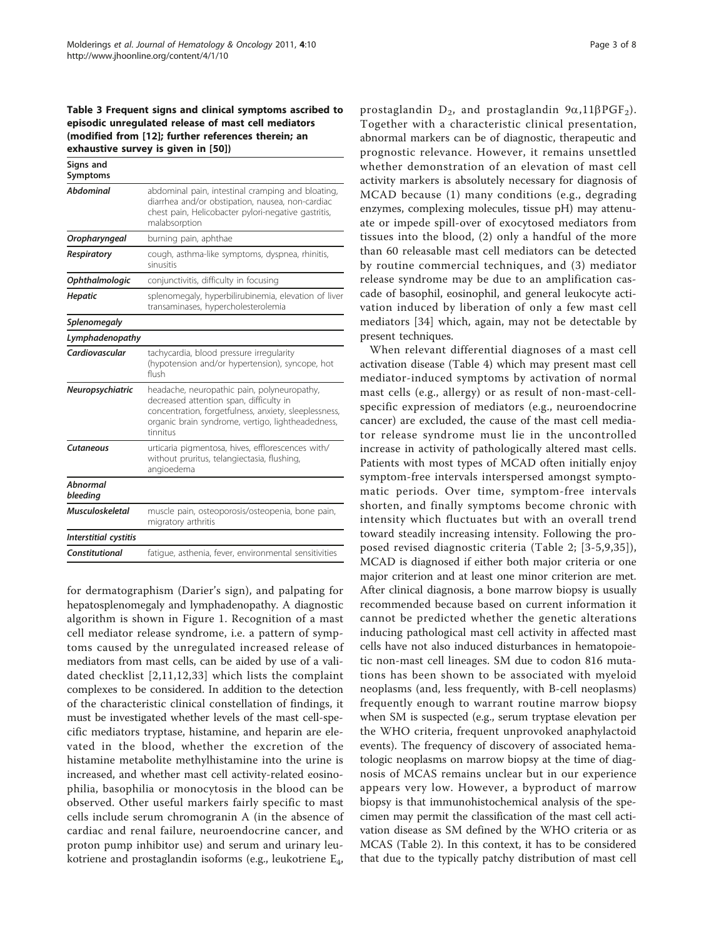<span id="page-2-0"></span>Table 3 Frequent signs and clinical symptoms ascribed to episodic unregulated release of mast cell mediators (modified from [\[12](#page-6-0)]; further references therein; an exhaustive survey is given in [\[50\]](#page-7-0))

| Signs and<br>Symptoms  |                                                                                                                                                                                                                  |
|------------------------|------------------------------------------------------------------------------------------------------------------------------------------------------------------------------------------------------------------|
| Abdominal              | abdominal pain, intestinal cramping and bloating,<br>diarrhea and/or obstipation, nausea, non-cardiac<br>chest pain, Helicobacter pylori-negative gastritis,<br>malabsorption                                    |
| Oropharyngeal          | burning pain, aphthae                                                                                                                                                                                            |
| Respiratory            | cough, asthma-like symptoms, dyspnea, rhinitis,<br>sinusitis                                                                                                                                                     |
| Ophthalmologic         | conjunctivitis, difficulty in focusing                                                                                                                                                                           |
| <b>Hepatic</b>         | splenomegaly, hyperbilirubinemia, elevation of liver<br>transaminases, hypercholesterolemia                                                                                                                      |
| <b>Splenomegaly</b>    |                                                                                                                                                                                                                  |
| Lymphadenopathy        |                                                                                                                                                                                                                  |
| Cardiovascular         | tachycardia, blood pressure irregularity<br>(hypotension and/or hypertension), syncope, hot<br>flush                                                                                                             |
| Neuropsychiatric       | headache, neuropathic pain, polyneuropathy,<br>decreased attention span, difficulty in<br>concentration, forgetfulness, anxiety, sleeplessness,<br>organic brain syndrome, vertigo, lightheadedness,<br>tinnitus |
| Cutaneous              | urticaria pigmentosa, hives, efflorescences with/<br>without pruritus, telangiectasia, flushing,<br>angioedema                                                                                                   |
| Abnormal<br>bleeding   |                                                                                                                                                                                                                  |
| <b>Musculoskeletal</b> | muscle pain, osteoporosis/osteopenia, bone pain,<br>migratory arthritis                                                                                                                                          |
| Interstitial cystitis  |                                                                                                                                                                                                                  |
| Constitutional         | fatique, asthenia, fever, environmental sensitivities                                                                                                                                                            |
|                        |                                                                                                                                                                                                                  |

for dermatographism (Darier's sign), and palpating for hepatosplenomegaly and lymphadenopathy. A diagnostic algorithm is shown in Figure [1](#page-3-0). Recognition of a mast cell mediator release syndrome, i.e. a pattern of symptoms caused by the unregulated increased release of mediators from mast cells, can be aided by use of a validated checklist [[2](#page-6-0),[11](#page-6-0),[12,](#page-6-0)[33\]](#page-7-0) which lists the complaint complexes to be considered. In addition to the detection of the characteristic clinical constellation of findings, it must be investigated whether levels of the mast cell-specific mediators tryptase, histamine, and heparin are elevated in the blood, whether the excretion of the histamine metabolite methylhistamine into the urine is increased, and whether mast cell activity-related eosinophilia, basophilia or monocytosis in the blood can be observed. Other useful markers fairly specific to mast cells include serum chromogranin A (in the absence of cardiac and renal failure, neuroendocrine cancer, and proton pump inhibitor use) and serum and urinary leukotriene and prostaglandin isoforms (e.g., leukotriene E4,

prostaglandin  $D_2$ , and prostaglandin  $9\alpha$ , 11 $\beta$ PGF<sub>2</sub>). Together with a characteristic clinical presentation, abnormal markers can be of diagnostic, therapeutic and prognostic relevance. However, it remains unsettled whether demonstration of an elevation of mast cell activity markers is absolutely necessary for diagnosis of MCAD because (1) many conditions (e.g., degrading enzymes, complexing molecules, tissue pH) may attenuate or impede spill-over of exocytosed mediators from tissues into the blood, (2) only a handful of the more than 60 releasable mast cell mediators can be detected by routine commercial techniques, and (3) mediator release syndrome may be due to an amplification cascade of basophil, eosinophil, and general leukocyte activation induced by liberation of only a few mast cell mediators [[34\]](#page-7-0) which, again, may not be detectable by present techniques.

When relevant differential diagnoses of a mast cell activation disease (Table [4\)](#page-3-0) which may present mast cell mediator-induced symptoms by activation of normal mast cells (e.g., allergy) or as result of non-mast-cellspecific expression of mediators (e.g., neuroendocrine cancer) are excluded, the cause of the mast cell mediator release syndrome must lie in the uncontrolled increase in activity of pathologically altered mast cells. Patients with most types of MCAD often initially enjoy symptom-free intervals interspersed amongst symptomatic periods. Over time, symptom-free intervals shorten, and finally symptoms become chronic with intensity which fluctuates but with an overall trend toward steadily increasing intensity. Following the proposed revised diagnostic criteria (Table [2;](#page-1-0) [[3](#page-6-0)-[5](#page-6-0),[9,](#page-6-0)[35\]](#page-7-0)), MCAD is diagnosed if either both major criteria or one major criterion and at least one minor criterion are met. After clinical diagnosis, a bone marrow biopsy is usually recommended because based on current information it cannot be predicted whether the genetic alterations inducing pathological mast cell activity in affected mast cells have not also induced disturbances in hematopoietic non-mast cell lineages. SM due to codon 816 mutations has been shown to be associated with myeloid neoplasms (and, less frequently, with B-cell neoplasms) frequently enough to warrant routine marrow biopsy when SM is suspected (e.g., serum tryptase elevation per the WHO criteria, frequent unprovoked anaphylactoid events). The frequency of discovery of associated hematologic neoplasms on marrow biopsy at the time of diagnosis of MCAS remains unclear but in our experience appears very low. However, a byproduct of marrow biopsy is that immunohistochemical analysis of the specimen may permit the classification of the mast cell activation disease as SM defined by the WHO criteria or as MCAS (Table [2\)](#page-1-0). In this context, it has to be considered that due to the typically patchy distribution of mast cell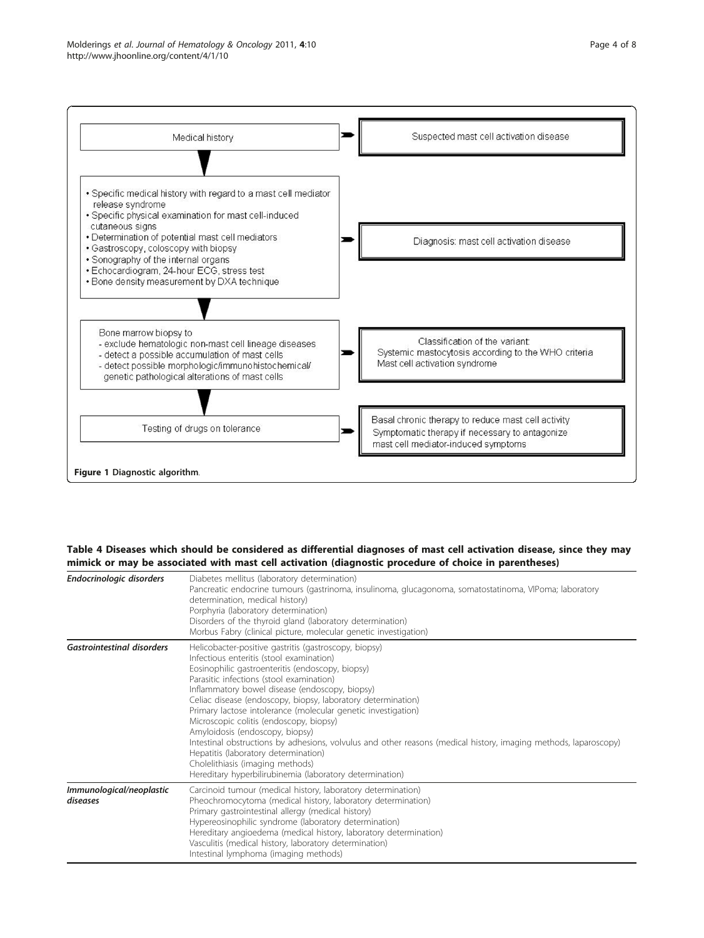<span id="page-3-0"></span>

#### Table 4 Diseases which should be considered as differential diagnoses of mast cell activation disease, since they may mimick or may be associated with mast cell activation (diagnostic procedure of choice in parentheses)

| Endocrinologic disorders             | Diabetes mellitus (laboratory determination)<br>Pancreatic endocrine tumours (gastrinoma, insulinoma, glucagonoma, somatostatinoma, VIPoma; laboratory<br>determination, medical history)<br>Porphyria (laboratory determination)<br>Disorders of the thyroid gland (laboratory determination)<br>Morbus Fabry (clinical picture, molecular genetic investigation)                                                                                                                                                                                                                                                                                                                                                             |
|--------------------------------------|--------------------------------------------------------------------------------------------------------------------------------------------------------------------------------------------------------------------------------------------------------------------------------------------------------------------------------------------------------------------------------------------------------------------------------------------------------------------------------------------------------------------------------------------------------------------------------------------------------------------------------------------------------------------------------------------------------------------------------|
| <b>Gastrointestinal disorders</b>    | Helicobacter-positive gastritis (gastroscopy, biopsy)<br>Infectious enteritis (stool examination)<br>Eosinophilic gastroenteritis (endoscopy, biopsy)<br>Parasitic infections (stool examination)<br>Inflammatory bowel disease (endoscopy, biopsy)<br>Celiac disease (endoscopy, biopsy, laboratory determination)<br>Primary lactose intolerance (molecular genetic investigation)<br>Microscopic colitis (endoscopy, biopsy)<br>Amyloidosis (endoscopy, biopsy)<br>Intestinal obstructions by adhesions, volvulus and other reasons (medical history, imaging methods, laparoscopy)<br>Hepatitis (laboratory determination)<br>Cholelithiasis (imaging methods)<br>Hereditary hyperbilirubinemia (laboratory determination) |
| Immunological/neoplastic<br>diseases | Carcinoid tumour (medical history, laboratory determination)<br>Pheochromocytoma (medical history, laboratory determination)<br>Primary gastrointestinal allergy (medical history)<br>Hypereosinophilic syndrome (laboratory determination)<br>Hereditary angioedema (medical history, laboratory determination)<br>Vasculitis (medical history, laboratory determination)<br>Intestinal lymphoma (imaging methods)                                                                                                                                                                                                                                                                                                            |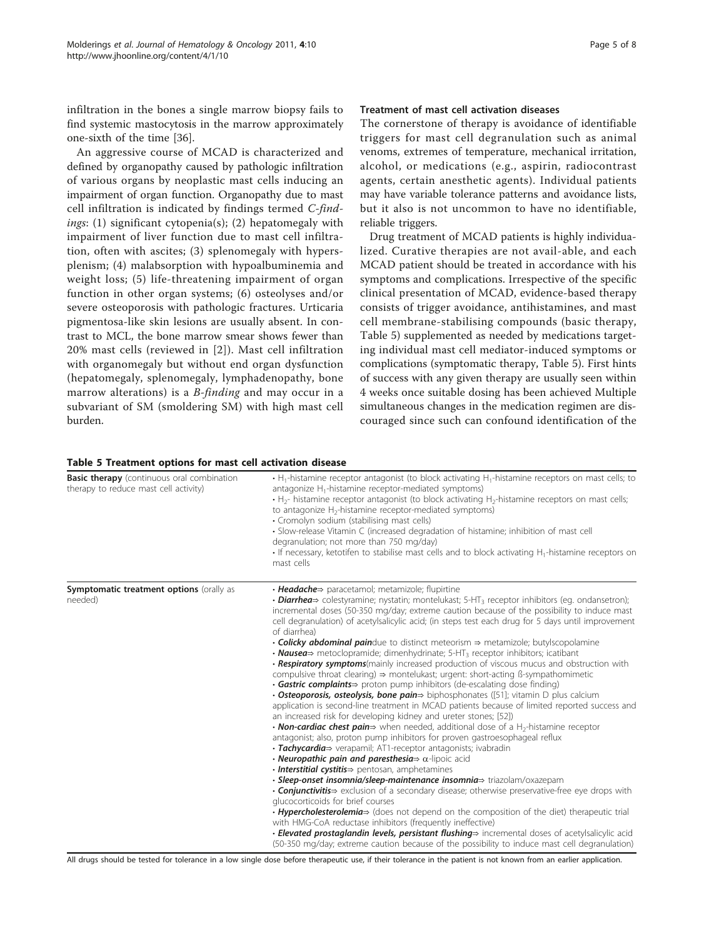infiltration in the bones a single marrow biopsy fails to find systemic mastocytosis in the marrow approximately one-sixth of the time [[36](#page-7-0)].

An aggressive course of MCAD is characterized and defined by organopathy caused by pathologic infiltration of various organs by neoplastic mast cells inducing an impairment of organ function. Organopathy due to mast cell infiltration is indicated by findings termed C-findings:  $(1)$  significant cytopenia $(s)$ ;  $(2)$  hepatomegaly with impairment of liver function due to mast cell infiltration, often with ascites; (3) splenomegaly with hypersplenism; (4) malabsorption with hypoalbuminemia and weight loss; (5) life-threatening impairment of organ function in other organ systems; (6) osteolyses and/or severe osteoporosis with pathologic fractures. Urticaria pigmentosa-like skin lesions are usually absent. In contrast to MCL, the bone marrow smear shows fewer than 20% mast cells (reviewed in [[2\]](#page-6-0)). Mast cell infiltration with organomegaly but without end organ dysfunction (hepatomegaly, splenomegaly, lymphadenopathy, bone marrow alterations) is a *B-finding* and may occur in a subvariant of SM (smoldering SM) with high mast cell burden.

# Treatment of mast cell activation diseases

The cornerstone of therapy is avoidance of identifiable triggers for mast cell degranulation such as animal venoms, extremes of temperature, mechanical irritation, alcohol, or medications (e.g., aspirin, radiocontrast agents, certain anesthetic agents). Individual patients may have variable tolerance patterns and avoidance lists, but it also is not uncommon to have no identifiable, reliable triggers.

Drug treatment of MCAD patients is highly individualized. Curative therapies are not avail-able, and each MCAD patient should be treated in accordance with his symptoms and complications. Irrespective of the specific clinical presentation of MCAD, evidence-based therapy consists of trigger avoidance, antihistamines, and mast cell membrane-stabilising compounds (basic therapy, Table 5) supplemented as needed by medications targeting individual mast cell mediator-induced symptoms or complications (symptomatic therapy, Table 5). First hints of success with any given therapy are usually seen within 4 weeks once suitable dosing has been achieved Multiple simultaneous changes in the medication regimen are discouraged since such can confound identification of the

#### Table 5 Treatment options for mast cell activation disease

| <b>Basic therapy</b> (continuous oral combination<br>therapy to reduce mast cell activity) | $\cdot$ H <sub>1</sub> -histamine receptor antagonist (to block activating H <sub>1</sub> -histamine receptors on mast cells; to<br>antagonize $H_1$ -histamine receptor-mediated symptoms)<br>$\cdot$ H <sub>2</sub> - histamine receptor antagonist (to block activating H <sub>2</sub> -histamine receptors on mast cells;<br>to antagonize H <sub>2</sub> -histamine receptor-mediated symptoms)<br>· Cromolyn sodium (stabilising mast cells)<br>• Slow-release Vitamin C (increased degradation of histamine; inhibition of mast cell<br>degranulation; not more than 750 mg/day)<br>$\cdot$ If necessary, ketotifen to stabilise mast cells and to block activating H <sub>1</sub> -histamine receptors on<br>mast cells                                                                                                                                                                                                                                                                                                                                                                                                                                                                                                                                                                                                                                                                                                                                                                                                 |
|--------------------------------------------------------------------------------------------|---------------------------------------------------------------------------------------------------------------------------------------------------------------------------------------------------------------------------------------------------------------------------------------------------------------------------------------------------------------------------------------------------------------------------------------------------------------------------------------------------------------------------------------------------------------------------------------------------------------------------------------------------------------------------------------------------------------------------------------------------------------------------------------------------------------------------------------------------------------------------------------------------------------------------------------------------------------------------------------------------------------------------------------------------------------------------------------------------------------------------------------------------------------------------------------------------------------------------------------------------------------------------------------------------------------------------------------------------------------------------------------------------------------------------------------------------------------------------------------------------------------------------------|
| Symptomatic treatment options (orally as<br>needed)                                        | • Headache⇒ paracetamol; metamizole; flupirtine<br>• <b>Diarrhea</b> $\Rightarrow$ colestyramine; nystatin; montelukast; 5-HT <sub>3</sub> receptor inhibitors (eg. ondansetron);<br>incremental doses (50-350 mg/day; extreme caution because of the possibility to induce mast<br>cell degranulation) of acetylsalicylic acid; (in steps test each drug for 5 days until improvement<br>of diarrhea)<br>• Colicky abdominal paindue to distinct meteorism > metamizole; butylscopolamine<br>• <b>Nausea</b> $\Rightarrow$ metoclopramide; dimenhydrinate; 5-HT <sub>3</sub> receptor inhibitors; icatibant<br>• Respiratory symptoms(mainly increased production of viscous mucus and obstruction with<br>compulsive throat clearing) $\Rightarrow$ montelukast; urgent: short-acting ß-sympathomimetic<br>• <b>Gastric complaints</b> > proton pump inhibitors (de-escalating dose finding)<br>• Osteoporosis, osteolysis, bone pain $\Rightarrow$ biphosphonates ([51]; vitamin D plus calcium<br>application is second-line treatment in MCAD patients because of limited reported success and<br>an increased risk for developing kidney and ureter stones; [52])<br>• <b>Non-cardiac chest pain</b> $\Rightarrow$ when needed, additional dose of a H <sub>2</sub> -histamine receptor<br>antagonist; also, proton pump inhibitors for proven gastroesophageal reflux<br>• Tachycardia > verapamil; AT1-receptor antagonists; ivabradin<br>• <b>Neuropathic pain and paresthesia</b> $\Rightarrow$ $\alpha$ -lipoic acid |
|                                                                                            | · Interstitial cystitis⇒ pentosan, amphetamines<br>• Sleep-onset insomnia/sleep-maintenance insomnia⇒ triazolam/oxazepam<br>• <b>Conjunctivitis</b> $\Rightarrow$ exclusion of a secondary disease; otherwise preservative-free eye drops with<br>glucocorticoids for brief courses<br>• Hypercholesterolemia> (does not depend on the composition of the diet) therapeutic trial<br>with HMG-CoA reductase inhibitors (frequently ineffective)<br>· Elevated prostaglandin levels, persistant flushing> incremental doses of acetylsalicylic acid<br>(50-350 mg/day; extreme caution because of the possibility to induce mast cell degranulation)                                                                                                                                                                                                                                                                                                                                                                                                                                                                                                                                                                                                                                                                                                                                                                                                                                                                             |

All drugs should be tested for tolerance in a low single dose before therapeutic use, if their tolerance in the patient is not known from an earlier application.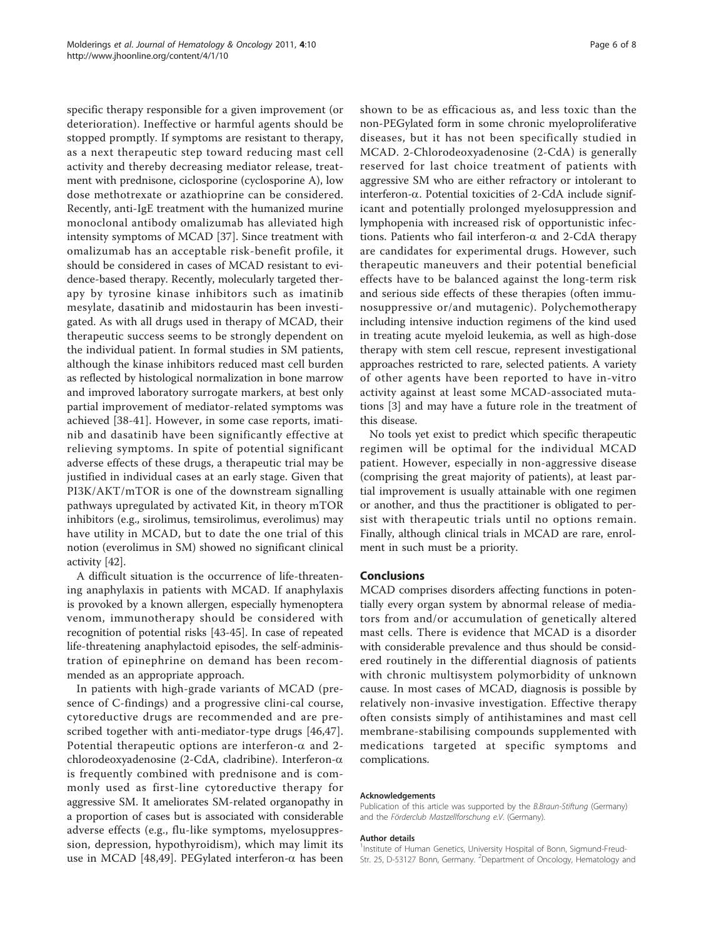specific therapy responsible for a given improvement (or deterioration). Ineffective or harmful agents should be stopped promptly. If symptoms are resistant to therapy, as a next therapeutic step toward reducing mast cell activity and thereby decreasing mediator release, treatment with prednisone, ciclosporine (cyclosporine A), low dose methotrexate or azathioprine can be considered. Recently, anti-IgE treatment with the humanized murine monoclonal antibody omalizumab has alleviated high intensity symptoms of MCAD [[37](#page-7-0)]. Since treatment with omalizumab has an acceptable risk-benefit profile, it should be considered in cases of MCAD resistant to evidence-based therapy. Recently, molecularly targeted therapy by tyrosine kinase inhibitors such as imatinib mesylate, dasatinib and midostaurin has been investigated. As with all drugs used in therapy of MCAD, their therapeutic success seems to be strongly dependent on the individual patient. In formal studies in SM patients, although the kinase inhibitors reduced mast cell burden as reflected by histological normalization in bone marrow and improved laboratory surrogate markers, at best only partial improvement of mediator-related symptoms was achieved [[38](#page-7-0)-[41\]](#page-7-0). However, in some case reports, imatinib and dasatinib have been significantly effective at relieving symptoms. In spite of potential significant adverse effects of these drugs, a therapeutic trial may be justified in individual cases at an early stage. Given that PI3K/AKT/mTOR is one of the downstream signalling pathways upregulated by activated Kit, in theory mTOR inhibitors (e.g., sirolimus, temsirolimus, everolimus) may have utility in MCAD, but to date the one trial of this notion (everolimus in SM) showed no significant clinical activity [[42](#page-7-0)].

A difficult situation is the occurrence of life-threatening anaphylaxis in patients with MCAD. If anaphylaxis is provoked by a known allergen, especially hymenoptera venom, immunotherapy should be considered with recognition of potential risks [\[43](#page-7-0)-[45](#page-7-0)]. In case of repeated life-threatening anaphylactoid episodes, the self-administration of epinephrine on demand has been recommended as an appropriate approach.

In patients with high-grade variants of MCAD (presence of C-findings) and a progressive clini-cal course, cytoreductive drugs are recommended and are prescribed together with anti-mediator-type drugs [[46,47](#page-7-0)]. Potential therapeutic options are interferon- $\alpha$  and 2chlorodeoxyadenosine (2-CdA, cladribine). Interferon- $\alpha$ is frequently combined with prednisone and is commonly used as first-line cytoreductive therapy for aggressive SM. It ameliorates SM-related organopathy in a proportion of cases but is associated with considerable adverse effects (e.g., flu-like symptoms, myelosuppression, depression, hypothyroidism), which may limit its use in MCAD [[48,49](#page-7-0)]. PEGylated interferon- $\alpha$  has been shown to be as efficacious as, and less toxic than the non-PEGylated form in some chronic myeloproliferative diseases, but it has not been specifically studied in MCAD. 2-Chlorodeoxyadenosine (2-CdA) is generally reserved for last choice treatment of patients with aggressive SM who are either refractory or intolerant to interferon- $\alpha$ . Potential toxicities of 2-CdA include significant and potentially prolonged myelosuppression and lymphopenia with increased risk of opportunistic infections. Patients who fail interferon- $\alpha$  and 2-CdA therapy are candidates for experimental drugs. However, such therapeutic maneuvers and their potential beneficial effects have to be balanced against the long-term risk and serious side effects of these therapies (often immunosuppressive or/and mutagenic). Polychemotherapy including intensive induction regimens of the kind used in treating acute myeloid leukemia, as well as high-dose therapy with stem cell rescue, represent investigational approaches restricted to rare, selected patients. A variety of other agents have been reported to have in-vitro activity against at least some MCAD-associated mutations [\[3](#page-6-0)] and may have a future role in the treatment of this disease.

No tools yet exist to predict which specific therapeutic regimen will be optimal for the individual MCAD patient. However, especially in non-aggressive disease (comprising the great majority of patients), at least partial improvement is usually attainable with one regimen or another, and thus the practitioner is obligated to persist with therapeutic trials until no options remain. Finally, although clinical trials in MCAD are rare, enrolment in such must be a priority.

#### Conclusions

MCAD comprises disorders affecting functions in potentially every organ system by abnormal release of mediators from and/or accumulation of genetically altered mast cells. There is evidence that MCAD is a disorder with considerable prevalence and thus should be considered routinely in the differential diagnosis of patients with chronic multisystem polymorbidity of unknown cause. In most cases of MCAD, diagnosis is possible by relatively non-invasive investigation. Effective therapy often consists simply of antihistamines and mast cell membrane-stabilising compounds supplemented with medications targeted at specific symptoms and complications.

#### Acknowledgements

Publication of this article was supported by the B.Braun-Stiftung (Germany) and the Förderclub Mastzellforschung e.V. (Germany).

#### Author details

<sup>1</sup>Institute of Human Genetics, University Hospital of Bonn, Sigmund-Freud-Str. 25, D-53127 Bonn, Germany. <sup>2</sup>Department of Oncology, Hematology and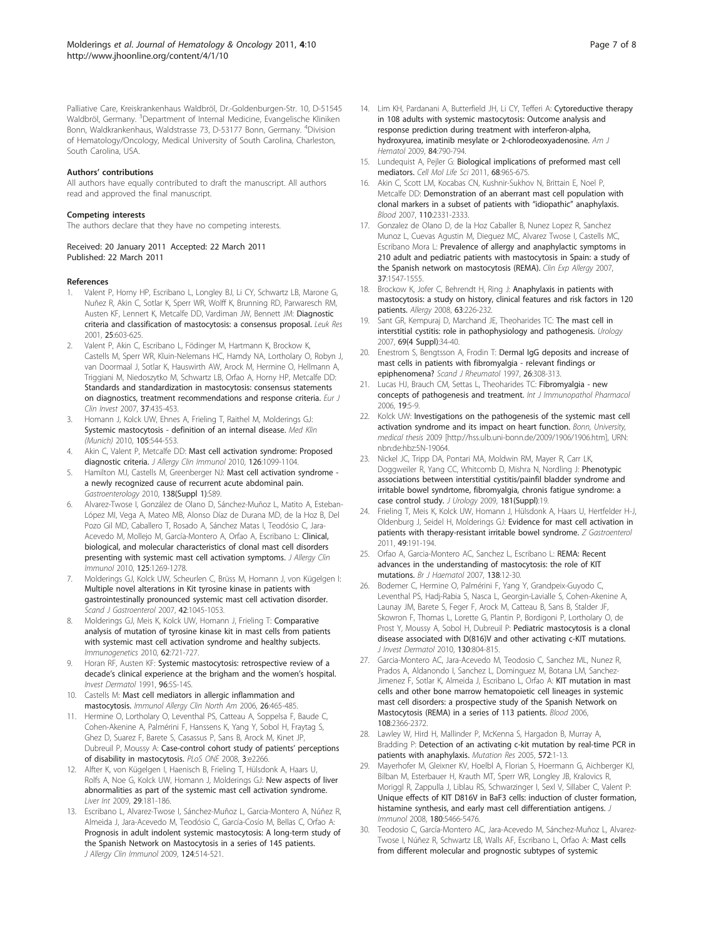<span id="page-6-0"></span>Palliative Care, Kreiskrankenhaus Waldbröl, Dr.-Goldenburgen-Str. 10, D-51545 Waldbröl, Germany. <sup>3</sup>Department of Internal Medicine, Evangelische Kliniken Bonn, Waldkrankenhaus, Waldstrasse 73, D-53177 Bonn, Germany. <sup>4</sup>Division of Hematology/Oncology, Medical University of South Carolina, Charleston, South Carolina, USA.

#### Authors' contributions

All authors have equally contributed to draft the manuscript. All authors read and approved the final manuscript.

#### Competing interests

The authors declare that they have no competing interests.

Received: 20 January 2011 Accepted: 22 March 2011 Published: 22 March 2011

#### References

- Valent P, Horny HP, Escribano L, Longley BJ, Li CY, Schwartz LB, Marone G, Nuñez R, Akin C, Sotlar K, Sperr WR, Wolff K, Brunning RD, Parwaresch RM, Austen KF, Lennert K, Metcalfe DD, Vardiman JW, Bennett JM: [Diagnostic](http://www.ncbi.nlm.nih.gov/pubmed/11377686?dopt=Abstract) [criteria and classification of mastocytosis: a consensus proposal.](http://www.ncbi.nlm.nih.gov/pubmed/11377686?dopt=Abstract) Leuk Res 2001, 25:603-625.
- 2. Valent P, Akin C, Escribano L, Födinger M, Hartmann K, Brockow K, Castells M, Sperr WR, Kluin-Nelemans HC, Hamdy NA, Lortholary O, Robyn J, van Doormaal J, Sotlar K, Hauswirth AW, Arock M, Hermine O, Hellmann A, Triggiani M, Niedoszytko M, Schwartz LB, Orfao A, Horny HP, Metcalfe DD: [Standards and standardization in mastocytosis: consensus statements](http://www.ncbi.nlm.nih.gov/pubmed/17537151?dopt=Abstract) [on diagnostics, treatment recommendations and response criteria.](http://www.ncbi.nlm.nih.gov/pubmed/17537151?dopt=Abstract) Eur J Clin Invest 2007, 37:435-453.
- 3. Homann J, Kolck UW, Ehnes A, Frieling T, Raithel M, Molderings GJ: [Systemic mastocytosis - definition of an internal disease.](http://www.ncbi.nlm.nih.gov/pubmed/20824412?dopt=Abstract) Med Klin (Munich) 2010, 105:544-553.
- 4. Akin C, Valent P, Metcalfe DD: [Mast cell activation syndrome: Proposed](http://www.ncbi.nlm.nih.gov/pubmed/21035176?dopt=Abstract) [diagnostic criteria.](http://www.ncbi.nlm.nih.gov/pubmed/21035176?dopt=Abstract) J Allergy Clin Immunol 2010, 126:1099-1104
- Hamilton MJ, Castells M, Greenberger NJ: Mast cell activation syndrome a newly recognized cause of recurrent acute abdominal pain. Gastroenterology 2010, 138(Suppl 1):S89.
- 6. Alvarez-Twose I, González de Olano D, Sánchez-Muñoz L, Matito A, Esteban-López MI, Vega A, Mateo MB, Alonso Díaz de Durana MD, de la Hoz B, Del Pozo Gil MD, Caballero T, Rosado A, Sánchez Matas I, Teodósio C, Jara-Acevedo M, Mollejo M, García-Montero A, Orfao A, Escribano L: [Clinical,](http://www.ncbi.nlm.nih.gov/pubmed/20434205?dopt=Abstract) [biological, and molecular characteristics of clonal mast cell disorders](http://www.ncbi.nlm.nih.gov/pubmed/20434205?dopt=Abstract) [presenting with systemic mast cell activation symptoms.](http://www.ncbi.nlm.nih.gov/pubmed/20434205?dopt=Abstract) J Allergy Clin Immunol 2010, 125:1269-1278.
- 7. Molderings GJ, Kolck UW, Scheurlen C, Brüss M, Homann J, von Kügelgen I: [Multiple novel alterations in Kit tyrosine kinase in patients with](http://www.ncbi.nlm.nih.gov/pubmed/17710669?dopt=Abstract) [gastrointestinally pronounced systemic mast cell activation disorder.](http://www.ncbi.nlm.nih.gov/pubmed/17710669?dopt=Abstract) Scand J Gastroenterol 2007, 42:1045-1053.
- 8. Molderings GJ, Meis K, Kolck UW, Homann J, Frieling T: [Comparative](http://www.ncbi.nlm.nih.gov/pubmed/20838788?dopt=Abstract) [analysis of mutation of tyrosine kinase kit in mast cells from patients](http://www.ncbi.nlm.nih.gov/pubmed/20838788?dopt=Abstract) [with systemic mast cell activation syndrome and healthy subjects.](http://www.ncbi.nlm.nih.gov/pubmed/20838788?dopt=Abstract) Immunogenetics 2010, 62:721-727.
- 9. Horan RF, Austen KF: Systemic mastocytosis: retrospective review of a decade's clinical experience at the brigham and the women's hospital. Invest Dermatol 1991, 96:5S-14S.
- 10. Castells M: [Mast cell mediators in allergic inflammation and](http://www.ncbi.nlm.nih.gov/pubmed/16931289?dopt=Abstract) [mastocytosis.](http://www.ncbi.nlm.nih.gov/pubmed/16931289?dopt=Abstract) Immunol Allergy Clin North Am 2006, 26:465-485.
- 11. Hermine O, Lortholary O, Leventhal PS, Catteau A, Soppelsa F, Baude C, Cohen-Akenine A, Palmérini F, Hanssens K, Yang Y, Sobol H, Fraytag S, Ghez D, Suarez F, Barete S, Casassus P, Sans B, Arock M, Kinet JP, Dubreuil P, Moussy A: [Case-control cohort study of patients](http://www.ncbi.nlm.nih.gov/pubmed/18509466?dopt=Abstract)' perceptions [of disability in mastocytosis.](http://www.ncbi.nlm.nih.gov/pubmed/18509466?dopt=Abstract) PLoS ONE 2008, 3:e2266.
- 12. Alfter K, von Kügelgen I, Haenisch B, Frieling T, Hülsdonk A, Haars U, Rolfs A, Noe G, Kolck UW, Homann J, Molderings GJ: [New aspects of liver](http://www.ncbi.nlm.nih.gov/pubmed/18662284?dopt=Abstract) [abnormalities as part of the systemic mast cell activation syndrome.](http://www.ncbi.nlm.nih.gov/pubmed/18662284?dopt=Abstract) Liver Int 2009, 29:181-186.
- 13. Escribano L, Alvarez-Twose I, Sánchez-Muñoz L, Garcia-Montero A, Núñez R, Almeida J, Jara-Acevedo M, Teodósio C, García-Cosío M, Bellas C, Orfao A: [Prognosis in adult indolent systemic mastocytosis: A long-term study of](http://www.ncbi.nlm.nih.gov/pubmed/19541349?dopt=Abstract) [the Spanish Network on Mastocytosis in a series of 145 patients.](http://www.ncbi.nlm.nih.gov/pubmed/19541349?dopt=Abstract) J Allergy Clin Immunol 2009, 124:514-521.
- 14. Lim KH, Pardanani A, Butterfield JH, Li CY, Tefferi A: [Cytoreductive therapy](http://www.ncbi.nlm.nih.gov/pubmed/19890907?dopt=Abstract) [in 108 adults with systemic mastocytosis: Outcome analysis and](http://www.ncbi.nlm.nih.gov/pubmed/19890907?dopt=Abstract) [response prediction during treatment with interferon-alpha,](http://www.ncbi.nlm.nih.gov/pubmed/19890907?dopt=Abstract) hydroxyurea, [imatinib mesylate or 2-chlorodeoxyadenosine.](http://www.ncbi.nlm.nih.gov/pubmed/19890907?dopt=Abstract) Am J Hematol 2009, 84:790-794.
- 15. Lundequist A, Pejler G: [Biological implications of preformed mast cell](http://www.ncbi.nlm.nih.gov/pubmed/21069421?dopt=Abstract) [mediators.](http://www.ncbi.nlm.nih.gov/pubmed/21069421?dopt=Abstract) Cell Mol Life Sci 2011, 68:965-675.
- 16. Akin C, Scott LM, Kocabas CN, Kushnir-Sukhov N, Brittain E, Noel P, Metcalfe DD: [Demonstration of an aberrant mast cell population with](http://www.ncbi.nlm.nih.gov/pubmed/17638853?dopt=Abstract) [clonal markers in a subset of patients with](http://www.ncbi.nlm.nih.gov/pubmed/17638853?dopt=Abstract) "idiopathic" anaphylaxis. Blood 2007, 110:2331-2333.
- 17. Gonzalez de Olano D, de la Hoz Caballer B, Nunez Lopez R, Sanchez Munoz L, Cuevas Agustin M, Dieguez MC, Alvarez Twose I, Castells MC, Escribano Mora L: [Prevalence of allergy and anaphylactic symptoms in](http://www.ncbi.nlm.nih.gov/pubmed/17883734?dopt=Abstract) [210 adult and pediatric patients with mastocytosis in Spain: a study of](http://www.ncbi.nlm.nih.gov/pubmed/17883734?dopt=Abstract) [the Spanish network on mastocytosis \(REMA\).](http://www.ncbi.nlm.nih.gov/pubmed/17883734?dopt=Abstract) Clin Exp Allergy 2007, 37:1547-1555.
- 18. Brockow K, Jofer C, Behrendt H, Ring J: [Anaphylaxis in patients with](http://www.ncbi.nlm.nih.gov/pubmed/18186813?dopt=Abstract) [mastocytosis: a study on history, clinical features and risk factors in 120](http://www.ncbi.nlm.nih.gov/pubmed/18186813?dopt=Abstract) [patients.](http://www.ncbi.nlm.nih.gov/pubmed/18186813?dopt=Abstract) Allergy 2008, 63:226-232.
- 19. Sant GR, Kempuraj D, Marchand JE, Theoharides TC: [The mast cell in](http://www.ncbi.nlm.nih.gov/pubmed/17462477?dopt=Abstract) [interstitial cystitis: role in pathophysiology and pathogenesis.](http://www.ncbi.nlm.nih.gov/pubmed/17462477?dopt=Abstract) Urology 2007, 69(4 Suppl):34-40.
- 20. Enestrom S, Bengtsson A, Frodin T: [Dermal IgG deposits and increase of](http://www.ncbi.nlm.nih.gov/pubmed/9310112?dopt=Abstract) [mast cells in patients with fibromyalgia - relevant findings or](http://www.ncbi.nlm.nih.gov/pubmed/9310112?dopt=Abstract) [epiphenomena?](http://www.ncbi.nlm.nih.gov/pubmed/9310112?dopt=Abstract) Scand J Rheumatol 1997, 26:308-313.
- 21. Lucas HJ, Brauch CM, Settas L, Theoharides TC: [Fibromyalgia new](http://www.ncbi.nlm.nih.gov/pubmed/16569342?dopt=Abstract) [concepts of pathogenesis and treatment.](http://www.ncbi.nlm.nih.gov/pubmed/16569342?dopt=Abstract) Int J Immunopathol Pharmacol 2006, 19:5-9.
- 22. Kolck UW: Investigations on the pathogenesis of the systemic mast cell activation syndrome and its impact on heart function. Bonn, University, medical thesis 2009 [\[http://hss.ulb.uni-bonn.de/2009/1906/1906.htm](http://hss.ulb.uni-bonn.de/2009/1906/1906.htm)], URN: nbn:de:hbz:5N-19064.
- 23. Nickel JC, Tripp DA, Pontari MA, Moldwin RM, Mayer R, Carr LK, Doggweiler R, Yang CC, Whitcomb D, Mishra N, Nordling J: Phenotypic associations between interstitial cystitis/painfil bladder syndrome and irritable bowel syndrtome, fibromyalgia, chronis fatigue syndrome: a case control study. J Urology 2009, 181(Suppl):19.
- 24. Frieling T, Meis K, Kolck UW, Homann J, Hülsdonk A, Haars U, Hertfelder H-J, Oldenburg J, Seidel H, Molderings GJ: [Evidence for mast cell activation in](http://www.ncbi.nlm.nih.gov/pubmed/21298604?dopt=Abstract) [patients with therapy-resistant irritable bowel syndrome.](http://www.ncbi.nlm.nih.gov/pubmed/21298604?dopt=Abstract)  $Z$  Gastroenterol 2011, 49:191-194.
- 25. Orfao A, Garcia-Montero AC, Sanchez L, Escribano L: [REMA: Recent](http://www.ncbi.nlm.nih.gov/pubmed/17555444?dopt=Abstract) [advances in the understanding of mastocytosis: the role of KIT](http://www.ncbi.nlm.nih.gov/pubmed/17555444?dopt=Abstract) [mutations.](http://www.ncbi.nlm.nih.gov/pubmed/17555444?dopt=Abstract) Br J Haematol 2007, 138:12-30.
- 26. Bodemer C, Hermine O, Palmérini F, Yang Y, Grandpeix-Guyodo C, Leventhal PS, Hadj-Rabia S, Nasca L, Georgin-Lavialle S, Cohen-Akenine A, Launay JM, Barete S, Feger F, Arock M, Catteau B, Sans B, Stalder JF, Skowron F, Thomas L, Lorette G, Plantin P, Bordigoni P, Lortholary O, de Prost Y, Moussy A, Sobol H, Dubreuil P: [Pediatric mastocytosis is a clonal](http://www.ncbi.nlm.nih.gov/pubmed/19865100?dopt=Abstract) [disease associated with D\(816\)V and other activating c-KIT mutations.](http://www.ncbi.nlm.nih.gov/pubmed/19865100?dopt=Abstract) J Invest Dermatol 2010, 130:804-815.
- 27. Garcia-Montero AC, Jara-Acevedo M, Teodosio C, Sanchez ML, Nunez R, Prados A, Aldanondo I, Sanchez L, Dominguez M, Botana LM, Sanchez-Jimenez F, Sotlar K, Almeida J, Escribano L, Orfao A: [KIT mutation in mast](http://www.ncbi.nlm.nih.gov/pubmed/16741248?dopt=Abstract) [cells and other bone marrow hematopoietic cell lineages in systemic](http://www.ncbi.nlm.nih.gov/pubmed/16741248?dopt=Abstract) [mast cell disorders: a prospective study of the Spanish Network on](http://www.ncbi.nlm.nih.gov/pubmed/16741248?dopt=Abstract) [Mastocytosis \(REMA\) in a series of 113 patients.](http://www.ncbi.nlm.nih.gov/pubmed/16741248?dopt=Abstract) Blood 2006, 108:2366-2372.
- 28. Lawley W, Hird H, Mallinder P, McKenna S, Hargadon B, Murray A, Bradding P: [Detection of an activating c-kit mutation by real-time PCR in](http://www.ncbi.nlm.nih.gov/pubmed/15790486?dopt=Abstract) [patients with anaphylaxis.](http://www.ncbi.nlm.nih.gov/pubmed/15790486?dopt=Abstract) Mutation Res 2005, 572:1-13.
- 29. Mayerhofer M, Gleixner KV, Hoelbl A, Florian S, Hoermann G, Aichberger KJ, Bilban M, Esterbauer H, Krauth MT, Sperr WR, Longley JB, Kralovics R, Moriggl R, Zappulla J, Liblau RS, Schwarzinger I, Sexl V, Sillaber C, Valent P: [Unique effects of KIT D816V in BaF3 cells: induction of cluster formation,](http://www.ncbi.nlm.nih.gov/pubmed/18390729?dopt=Abstract) [histamine synthesis, and early mast cell differentiation antigens.](http://www.ncbi.nlm.nih.gov/pubmed/18390729?dopt=Abstract) J Immunol 2008, 180:5466-5476.
- 30. Teodosio C, García-Montero AC, Jara-Acevedo M, Sánchez-Muñoz L, Alvarez-Twose I, Núñez R, Schwartz LB, Walls AF, Escribano L, Orfao A: [Mast cells](http://www.ncbi.nlm.nih.gov/pubmed/20061010?dopt=Abstract) [from different molecular and prognostic subtypes of systemic](http://www.ncbi.nlm.nih.gov/pubmed/20061010?dopt=Abstract)